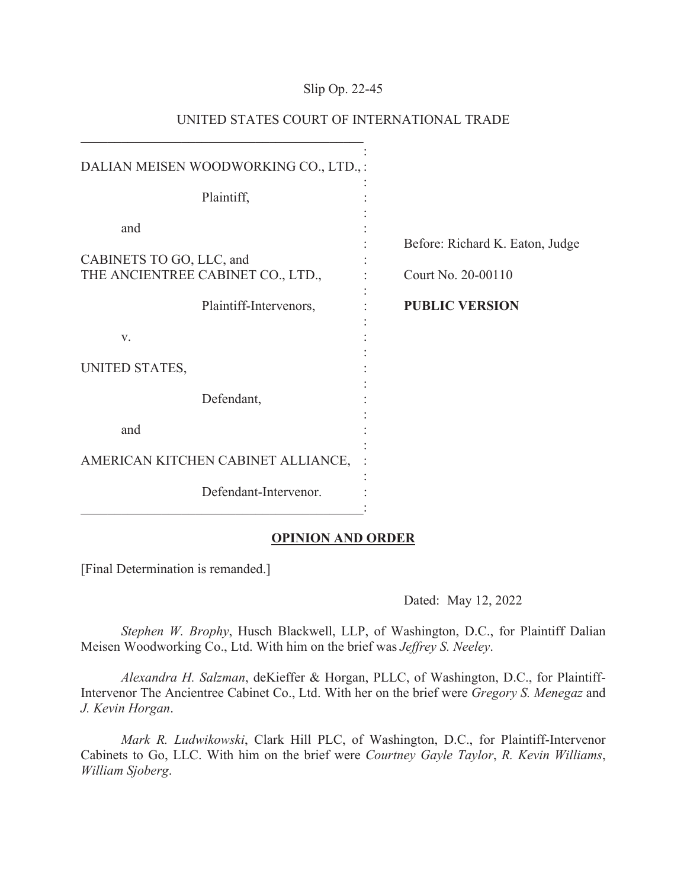# Slip Op. 22-45

| DALIAN MEISEN WOODWORKING CO., LTD.,:                                |                                                       |
|----------------------------------------------------------------------|-------------------------------------------------------|
| Plaintiff,                                                           |                                                       |
| and<br>CABINETS TO GO, LLC, and<br>THE ANCIENTREE CABINET CO., LTD., | Before: Richard K. Eaton, Judge<br>Court No. 20-00110 |
| Plaintiff-Intervenors,                                               | <b>PUBLIC VERSION</b>                                 |
| V.                                                                   |                                                       |
| UNITED STATES,                                                       |                                                       |
| Defendant,                                                           |                                                       |
| and                                                                  |                                                       |
| AMERICAN KITCHEN CABINET ALLIANCE,                                   |                                                       |
| Defendant-Intervenor.                                                |                                                       |

# UNITED STATES COURT OF INTERNATIONAL TRADE

### **OPINION AND ORDER**

[Final Determination is remanded.]

Dated: May 12, 2022

*Stephen W. Brophy*, Husch Blackwell, LLP, of Washington, D.C., for Plaintiff Dalian Meisen Woodworking Co., Ltd. With him on the brief was *Jeffrey S. Neeley*.

*Alexandra H. Salzman*, deKieffer & Horgan, PLLC, of Washington, D.C., for Plaintiff-Intervenor The Ancientree Cabinet Co., Ltd. With her on the brief were *Gregory S. Menegaz* and *J. Kevin Horgan*.

*Mark R. Ludwikowski*, Clark Hill PLC, of Washington, D.C., for Plaintiff-Intervenor Cabinets to Go, LLC. With him on the brief were *Courtney Gayle Taylor*, *R. Kevin Williams*, *William Sjoberg*.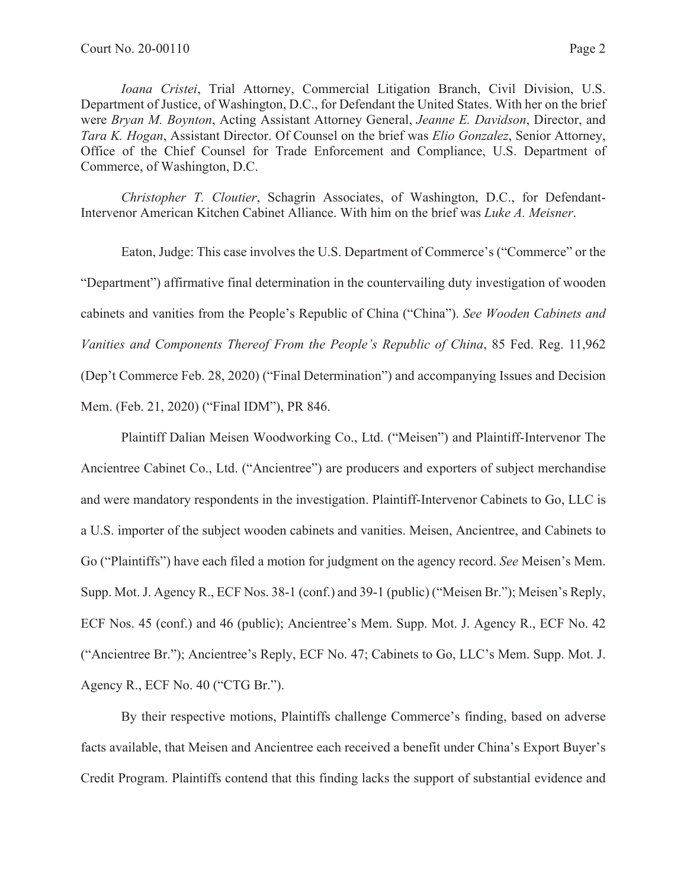*Ioana Cristei*, Trial Attorney, Commercial Litigation Branch, Civil Division, U.S. Department of Justice, of Washington, D.C., for Defendant the United States. With her on the brief were *Bryan M. Boynton*, Acting Assistant Attorney General, *Jeanne E. Davidson*, Director, and *Tara K. Hogan*, Assistant Director. Of Counsel on the brief was *Elio Gonzalez*, Senior Attorney, Office of the Chief Counsel for Trade Enforcement and Compliance, U.S. Department of Commerce, of Washington, D.C.

*Christopher T. Cloutier*, Schagrin Associates, of Washington, D.C., for Defendant-Intervenor American Kitchen Cabinet Alliance. With him on the brief was *Luke A. Meisner*.

Eaton, Judge: This case involves the U.S. Department of Commerce's ("Commerce" or the "Department") affirmative final determination in the countervailing duty investigation of wooden cabinets and vanities from the People's Republic of China ("China"). *See Wooden Cabinets and Vanities and Components Thereof From the People's Republic of China*, 85 Fed. Reg. 11,962 (Dep't Commerce Feb. 28, 2020) ("Final Determination") and accompanying Issues and Decision Mem. (Feb. 21, 2020) ("Final IDM"), PR 846.

Plaintiff Dalian Meisen Woodworking Co., Ltd. ("Meisen") and Plaintiff-Intervenor The Ancientree Cabinet Co., Ltd. ("Ancientree") are producers and exporters of subject merchandise and were mandatory respondents in the investigation. Plaintiff-Intervenor Cabinets to Go, LLC is a U.S. importer of the subject wooden cabinets and vanities. Meisen, Ancientree, and Cabinets to Go ("Plaintiffs") have each filed a motion for judgment on the agency record. *See* Meisen's Mem. Supp. Mot. J. Agency R., ECF Nos. 38-1 (conf.) and 39-1 (public) ("Meisen Br."); Meisen's Reply, ECF Nos. 45 (conf.) and 46 (public); Ancientree's Mem. Supp. Mot. J. Agency R., ECF No. 42 ("Ancientree Br."); Ancientree's Reply, ECF No. 47; Cabinets to Go, LLC's Mem. Supp. Mot. J. Agency R., ECF No. 40 ("CTG Br.").

By their respective motions, Plaintiffs challenge Commerce's finding, based on adverse facts available, that Meisen and Ancientree each received a benefit under China's Export Buyer's Credit Program. Plaintiffs contend that this finding lacks the support of substantial evidence and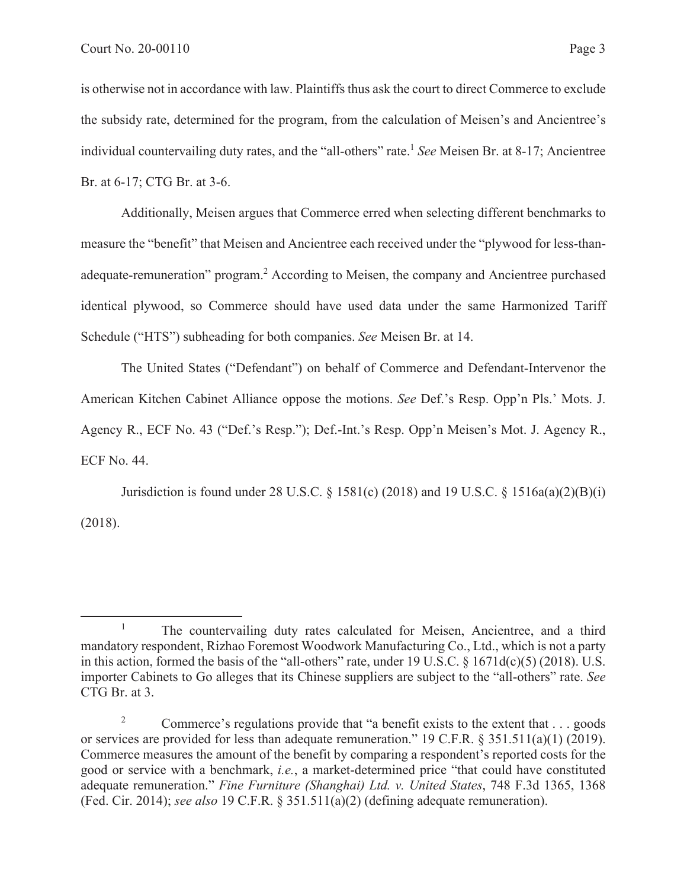is otherwise not in accordance with law. Plaintiffs thus ask the court to direct Commerce to exclude the subsidy rate, determined for the program, from the calculation of Meisen's and Ancientree's individual countervailing duty rates, and the "all-others" rate.<sup>1</sup> See Meisen Br. at 8-17; Ancientree Br. at 6-17; CTG Br. at 3-6.

Additionally, Meisen argues that Commerce erred when selecting different benchmarks to measure the "benefit" that Meisen and Ancientree each received under the "plywood for less-thanadequate-remuneration" program.<sup>2</sup> According to Meisen, the company and Ancientree purchased identical plywood, so Commerce should have used data under the same Harmonized Tariff Schedule ("HTS") subheading for both companies. *See* Meisen Br. at 14.

The United States ("Defendant") on behalf of Commerce and Defendant-Intervenor the American Kitchen Cabinet Alliance oppose the motions. *See* Def.'s Resp. Opp'n Pls.' Mots. J. Agency R., ECF No. 43 ("Def.'s Resp."); Def.-Int.'s Resp. Opp'n Meisen's Mot. J. Agency R., ECF No. 44.

Jurisdiction is found under 28 U.S.C. § 1581(c) (2018) and 19 U.S.C. § 1516a(a)(2)(B)(i) (2018).

<sup>1</sup> The countervailing duty rates calculated for Meisen, Ancientree, and a third mandatory respondent, Rizhao Foremost Woodwork Manufacturing Co., Ltd., which is not a party in this action, formed the basis of the "all-others" rate, under 19 U.S.C. § 1671d(c)(5) (2018). U.S. importer Cabinets to Go alleges that its Chinese suppliers are subject to the "all-others" rate. *See* CTG Br. at 3.

<sup>2</sup> Commerce's regulations provide that "a benefit exists to the extent that . . . goods or services are provided for less than adequate remuneration." 19 C.F.R. § 351.511(a)(1) (2019). Commerce measures the amount of the benefit by comparing a respondent's reported costs for the good or service with a benchmark, *i.e.*, a market-determined price "that could have constituted adequate remuneration." *Fine Furniture (Shanghai) Ltd. v. United States*, 748 F.3d 1365, 1368 (Fed. Cir. 2014); *see also* 19 C.F.R. § 351.511(a)(2) (defining adequate remuneration).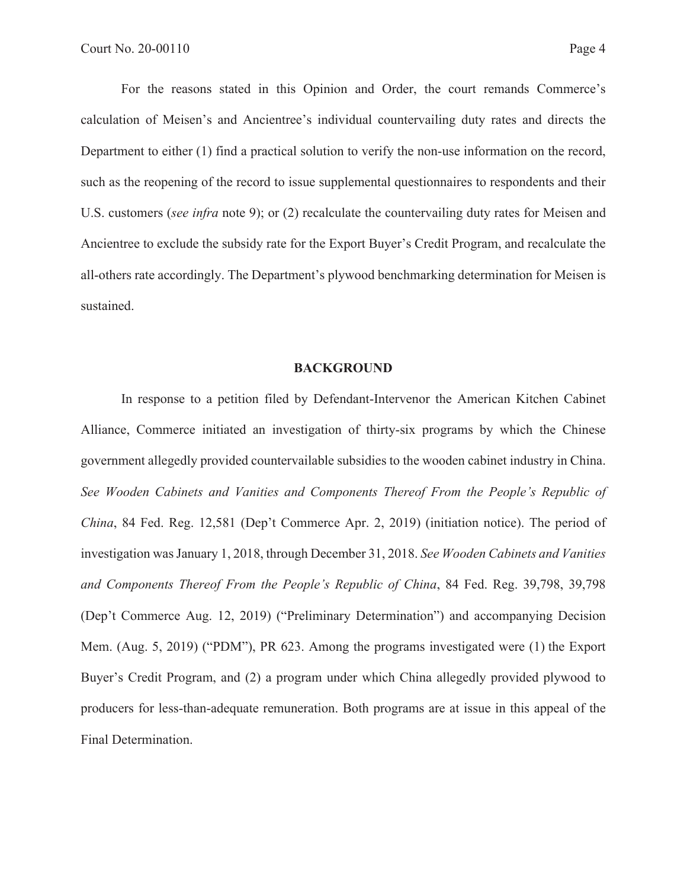For the reasons stated in this Opinion and Order, the court remands Commerce's calculation of Meisen's and Ancientree's individual countervailing duty rates and directs the Department to either (1) find a practical solution to verify the non-use information on the record, such as the reopening of the record to issue supplemental questionnaires to respondents and their U.S. customers (*see infra* note 9); or (2) recalculate the countervailing duty rates for Meisen and Ancientree to exclude the subsidy rate for the Export Buyer's Credit Program, and recalculate the all-others rate accordingly. The Department's plywood benchmarking determination for Meisen is sustained.

#### **BACKGROUND**

In response to a petition filed by Defendant-Intervenor the American Kitchen Cabinet Alliance, Commerce initiated an investigation of thirty-six programs by which the Chinese government allegedly provided countervailable subsidies to the wooden cabinet industry in China. *See Wooden Cabinets and Vanities and Components Thereof From the People's Republic of China*, 84 Fed. Reg. 12,581 (Dep't Commerce Apr. 2, 2019) (initiation notice). The period of investigation was January 1, 2018, through December 31, 2018. *See Wooden Cabinets and Vanities and Components Thereof From the People's Republic of China*, 84 Fed. Reg. 39,798, 39,798 (Dep't Commerce Aug. 12, 2019) ("Preliminary Determination") and accompanying Decision Mem. (Aug. 5, 2019) ("PDM"), PR 623. Among the programs investigated were (1) the Export Buyer's Credit Program, and (2) a program under which China allegedly provided plywood to producers for less-than-adequate remuneration. Both programs are at issue in this appeal of the Final Determination.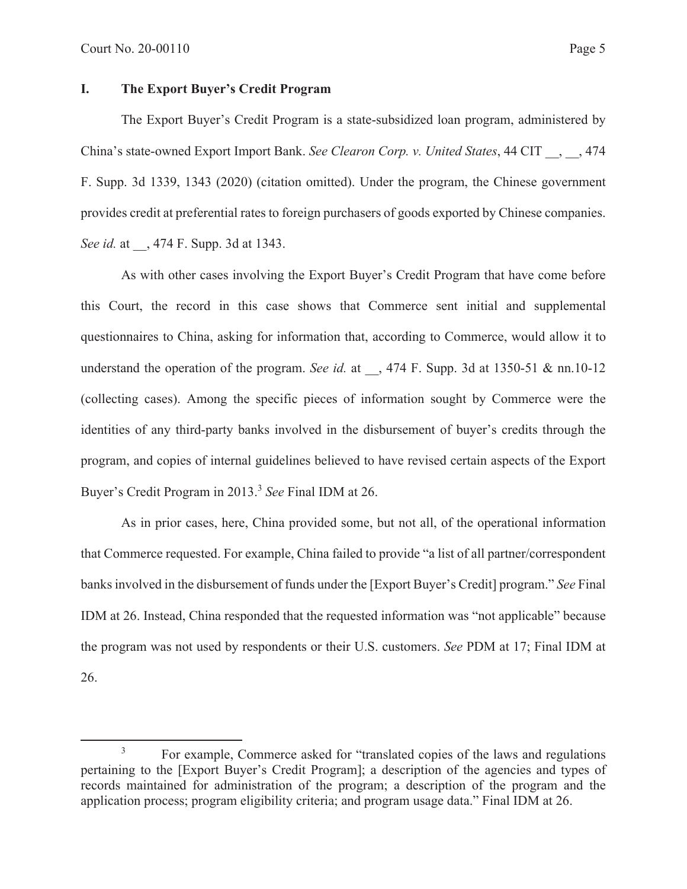# **I. The Export Buyer's Credit Program**

The Export Buyer's Credit Program is a state-subsidized loan program, administered by China's state-owned Export Import Bank. *See Clearon Corp. v. United States*, 44 CIT \_\_, \_\_, 474 F. Supp. 3d 1339, 1343 (2020) (citation omitted). Under the program, the Chinese government provides credit at preferential rates to foreign purchasers of goods exported by Chinese companies. *See id.* at  $\,$ , 474 F. Supp. 3d at 1343.

As with other cases involving the Export Buyer's Credit Program that have come before this Court, the record in this case shows that Commerce sent initial and supplemental questionnaires to China, asking for information that, according to Commerce, would allow it to understand the operation of the program. *See id.* at \_\_, 474 F. Supp. 3d at 1350-51 & nn.10-12 (collecting cases). Among the specific pieces of information sought by Commerce were the identities of any third-party banks involved in the disbursement of buyer's credits through the program, and copies of internal guidelines believed to have revised certain aspects of the Export Buyer's Credit Program in 2013.<sup>3</sup> *See* Final IDM at 26.

As in prior cases, here, China provided some, but not all, of the operational information that Commerce requested. For example, China failed to provide "a list of all partner/correspondent banks involved in the disbursement of funds under the [Export Buyer's Credit] program." *See* Final IDM at 26. Instead, China responded that the requested information was "not applicable" because the program was not used by respondents or their U.S. customers. *See* PDM at 17; Final IDM at 26.

<sup>3</sup> For example, Commerce asked for "translated copies of the laws and regulations pertaining to the [Export Buyer's Credit Program]; a description of the agencies and types of records maintained for administration of the program; a description of the program and the application process; program eligibility criteria; and program usage data." Final IDM at 26.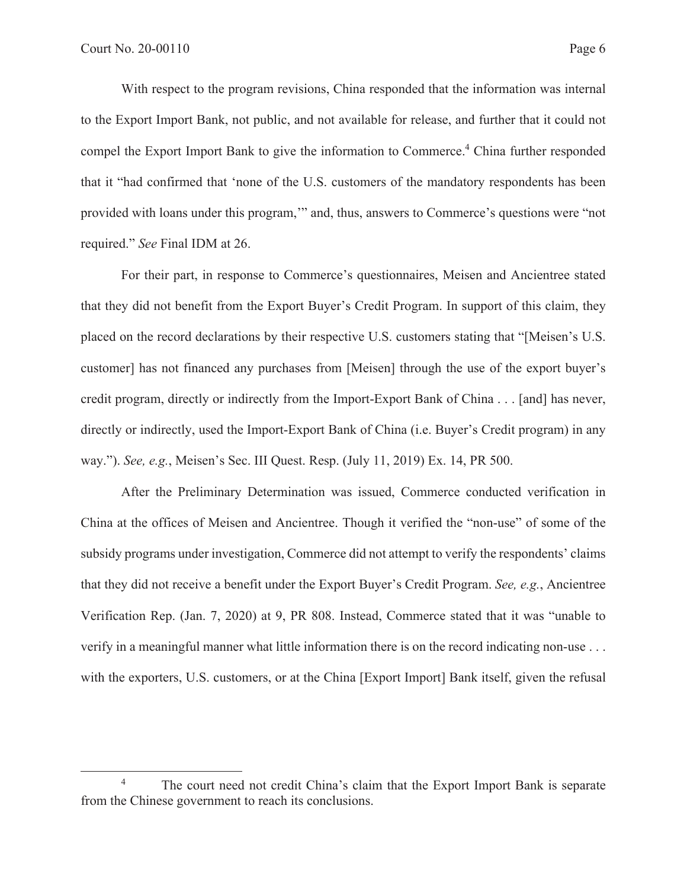With respect to the program revisions, China responded that the information was internal to the Export Import Bank, not public, and not available for release, and further that it could not compel the Export Import Bank to give the information to Commerce.<sup>4</sup> China further responded that it "had confirmed that 'none of the U.S. customers of the mandatory respondents has been provided with loans under this program,'" and, thus, answers to Commerce's questions were "not required." *See* Final IDM at 26.

 For their part, in response to Commerce's questionnaires, Meisen and Ancientree stated that they did not benefit from the Export Buyer's Credit Program. In support of this claim, they placed on the record declarations by their respective U.S. customers stating that "[Meisen's U.S. customer] has not financed any purchases from [Meisen] through the use of the export buyer's credit program, directly or indirectly from the Import-Export Bank of China . . . [and] has never, directly or indirectly, used the Import-Export Bank of China (i.e. Buyer's Credit program) in any way."). *See, e.g.*, Meisen's Sec. III Quest. Resp. (July 11, 2019) Ex. 14, PR 500.

 After the Preliminary Determination was issued, Commerce conducted verification in China at the offices of Meisen and Ancientree. Though it verified the "non-use" of some of the subsidy programs under investigation, Commerce did not attempt to verify the respondents' claims that they did not receive a benefit under the Export Buyer's Credit Program. *See, e.g.*, Ancientree Verification Rep. (Jan. 7, 2020) at 9, PR 808. Instead, Commerce stated that it was "unable to verify in a meaningful manner what little information there is on the record indicating non-use . . . with the exporters, U.S. customers, or at the China [Export Import] Bank itself, given the refusal

<sup>4</sup> The court need not credit China's claim that the Export Import Bank is separate from the Chinese government to reach its conclusions.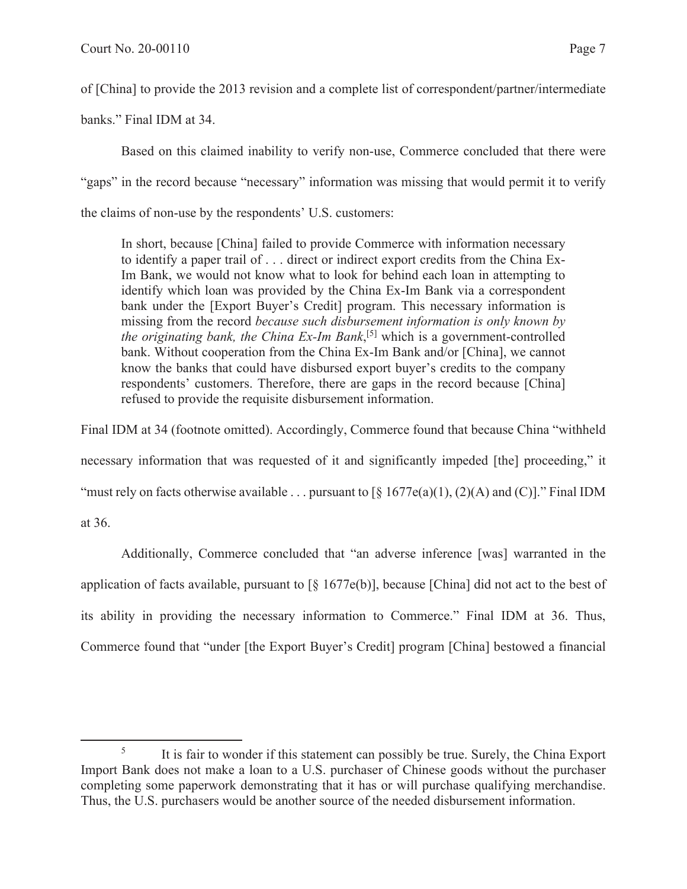of [China] to provide the 2013 revision and a complete list of correspondent/partner/intermediate

banks." Final IDM at 34.

 Based on this claimed inability to verify non-use, Commerce concluded that there were "gaps" in the record because "necessary" information was missing that would permit it to verify the claims of non-use by the respondents' U.S. customers:

In short, because [China] failed to provide Commerce with information necessary to identify a paper trail of . . . direct or indirect export credits from the China Ex-Im Bank, we would not know what to look for behind each loan in attempting to identify which loan was provided by the China Ex-Im Bank via a correspondent bank under the [Export Buyer's Credit] program. This necessary information is missing from the record *because such disbursement information is only known by*  the originating bank, the China Ex-Im Bank,<sup>[5]</sup> which is a government-controlled bank. Without cooperation from the China Ex-Im Bank and/or [China], we cannot know the banks that could have disbursed export buyer's credits to the company respondents' customers. Therefore, there are gaps in the record because [China] refused to provide the requisite disbursement information.

Final IDM at 34 (footnote omitted). Accordingly, Commerce found that because China "withheld necessary information that was requested of it and significantly impeded [the] proceeding," it "must rely on facts otherwise available . . . pursuant to  $\lceil \xi \cdot 1677e(a)(1), (2)(A) \rceil$  and (C)]." Final IDM at 36.

 Additionally, Commerce concluded that "an adverse inference [was] warranted in the application of facts available, pursuant to  $\lceil \S 1677e(b) \rceil$ , because [China] did not act to the best of its ability in providing the necessary information to Commerce." Final IDM at 36. Thus, Commerce found that "under [the Export Buyer's Credit] program [China] bestowed a financial

<sup>5</sup> It is fair to wonder if this statement can possibly be true. Surely, the China Export Import Bank does not make a loan to a U.S. purchaser of Chinese goods without the purchaser completing some paperwork demonstrating that it has or will purchase qualifying merchandise. Thus, the U.S. purchasers would be another source of the needed disbursement information.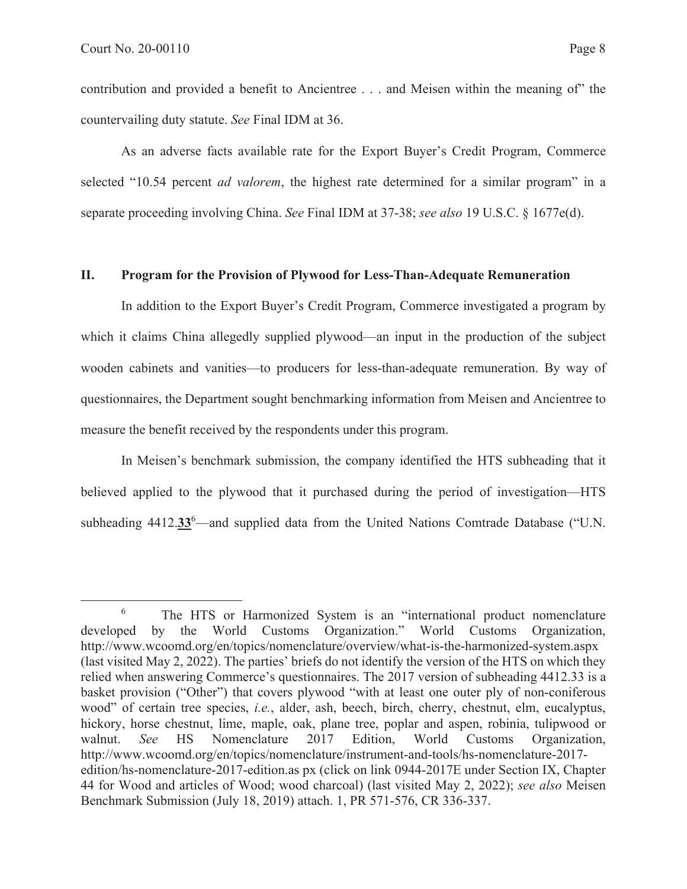contribution and provided a benefit to Ancientree . . . and Meisen within the meaning of" the countervailing duty statute. *See* Final IDM at 36.

 As an adverse facts available rate for the Export Buyer's Credit Program, Commerce selected "10.54 percent *ad valorem*, the highest rate determined for a similar program" in a separate proceeding involving China. *See* Final IDM at 37-38; *see also* 19 U.S.C. § 1677e(d).

# **II. Program for the Provision of Plywood for Less-Than-Adequate Remuneration**

 In addition to the Export Buyer's Credit Program, Commerce investigated a program by which it claims China allegedly supplied plywood—an input in the production of the subject wooden cabinets and vanities—to producers for less-than-adequate remuneration. By way of questionnaires, the Department sought benchmarking information from Meisen and Ancientree to measure the benefit received by the respondents under this program.

In Meisen's benchmark submission, the company identified the HTS subheading that it believed applied to the plywood that it purchased during the period of investigation—HTS subheading 4412.33<sup>6</sup>—and supplied data from the United Nations Comtrade Database ("U.N.

<sup>6</sup> The HTS or Harmonized System is an "international product nomenclature developed by the World Customs Organization." World Customs Organization, http://www.wcoomd.org/en/topics/nomenclature/overview/what-is-the-harmonized-system.aspx (last visited May 2, 2022). The parties' briefs do not identify the version of the HTS on which they relied when answering Commerce's questionnaires. The 2017 version of subheading 4412.33 is a basket provision ("Other") that covers plywood "with at least one outer ply of non-coniferous wood" of certain tree species, *i.e.*, alder, ash, beech, birch, cherry, chestnut, elm, eucalyptus, hickory, horse chestnut, lime, maple, oak, plane tree, poplar and aspen, robinia, tulipwood or walnut. *See* HS Nomenclature 2017 Edition, World Customs Organization, http://www.wcoomd.org/en/topics/nomenclature/instrument-and-tools/hs-nomenclature-2017 edition/hs-nomenclature-2017-edition.as px (click on link 0944-2017E under Section IX, Chapter 44 for Wood and articles of Wood; wood charcoal) (last visited May 2, 2022); *see also* Meisen Benchmark Submission (July 18, 2019) attach. 1, PR 571-576, CR 336-337.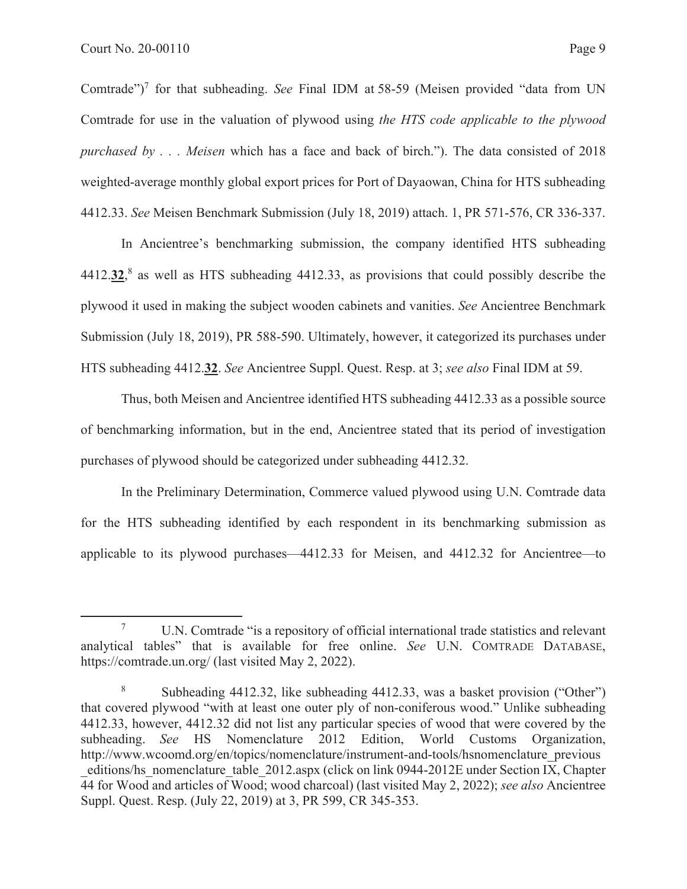Comtrade")<sup>7</sup> for that subheading. *See* Final IDM at 58-59 (Meisen provided "data from UN Comtrade for use in the valuation of plywood using *the HTS code applicable to the plywood purchased by . . . Meisen* which has a face and back of birch."). The data consisted of 2018 weighted-average monthly global export prices for Port of Dayaowan, China for HTS subheading 4412.33. *See* Meisen Benchmark Submission (July 18, 2019) attach. 1, PR 571-576, CR 336-337.

In Ancientree's benchmarking submission, the company identified HTS subheading 4412.**32**, 8 as well as HTS subheading 4412.33, as provisions that could possibly describe the plywood it used in making the subject wooden cabinets and vanities. *See* Ancientree Benchmark Submission (July 18, 2019), PR 588-590. Ultimately, however, it categorized its purchases under HTS subheading 4412.**32**. *See* Ancientree Suppl. Quest. Resp. at 3; *see also* Final IDM at 59.

Thus, both Meisen and Ancientree identified HTS subheading 4412.33 as a possible source of benchmarking information, but in the end, Ancientree stated that its period of investigation purchases of plywood should be categorized under subheading 4412.32.

In the Preliminary Determination, Commerce valued plywood using U.N. Comtrade data for the HTS subheading identified by each respondent in its benchmarking submission as applicable to its plywood purchases—4412.33 for Meisen, and 4412.32 for Ancientree—to

<sup>7</sup> U.N. Comtrade "is a repository of official international trade statistics and relevant analytical tables" that is available for free online. *See* U.N. COMTRADE DATABASE, https://comtrade.un.org/ (last visited May 2, 2022).

<sup>8</sup> Subheading 4412.32, like subheading 4412.33, was a basket provision ("Other") that covered plywood "with at least one outer ply of non-coniferous wood." Unlike subheading 4412.33, however, 4412.32 did not list any particular species of wood that were covered by the subheading. *See* HS Nomenclature 2012 Edition, World Customs Organization, http://www.wcoomd.org/en/topics/nomenclature/instrument-and-tools/hsnomenclature\_previous editions/hs\_nomenclature\_table\_2012.aspx (click on link 0944-2012E under Section IX, Chapter 44 for Wood and articles of Wood; wood charcoal) (last visited May 2, 2022); *see also* Ancientree Suppl. Quest. Resp. (July 22, 2019) at 3, PR 599, CR 345-353.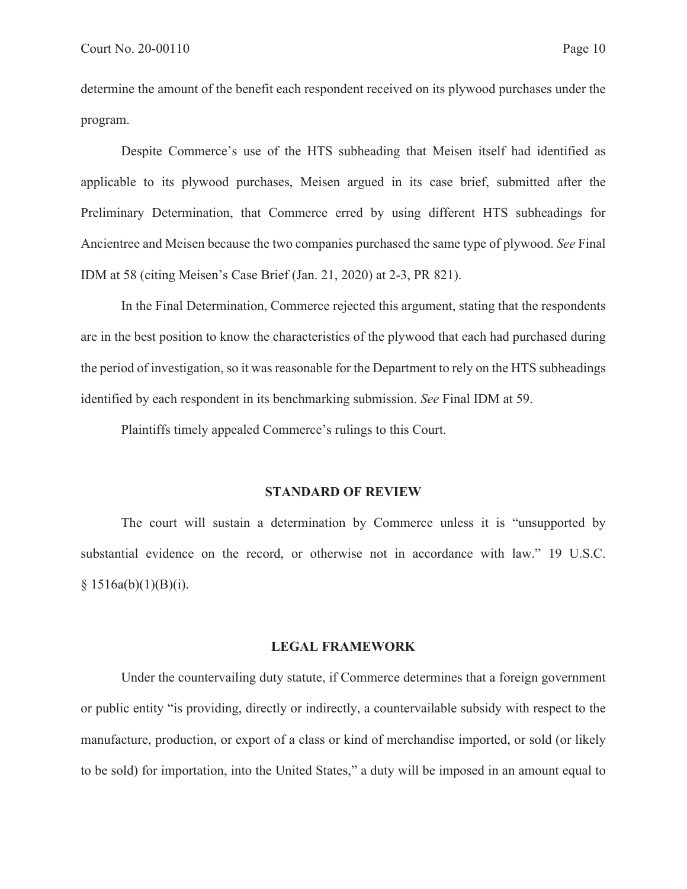determine the amount of the benefit each respondent received on its plywood purchases under the program.

Despite Commerce's use of the HTS subheading that Meisen itself had identified as applicable to its plywood purchases, Meisen argued in its case brief, submitted after the Preliminary Determination, that Commerce erred by using different HTS subheadings for Ancientree and Meisen because the two companies purchased the same type of plywood. *See* Final IDM at 58 (citing Meisen's Case Brief (Jan. 21, 2020) at 2-3, PR 821).

In the Final Determination, Commerce rejected this argument, stating that the respondents are in the best position to know the characteristics of the plywood that each had purchased during the period of investigation, so it was reasonable for the Department to rely on the HTS subheadings identified by each respondent in its benchmarking submission. *See* Final IDM at 59.

Plaintiffs timely appealed Commerce's rulings to this Court.

#### **STANDARD OF REVIEW**

The court will sustain a determination by Commerce unless it is "unsupported by substantial evidence on the record, or otherwise not in accordance with law." 19 U.S.C.  $§ 1516a(b)(1)(B)(i).$ 

#### **LEGAL FRAMEWORK**

Under the countervailing duty statute, if Commerce determines that a foreign government or public entity "is providing, directly or indirectly, a countervailable subsidy with respect to the manufacture, production, or export of a class or kind of merchandise imported, or sold (or likely to be sold) for importation, into the United States," a duty will be imposed in an amount equal to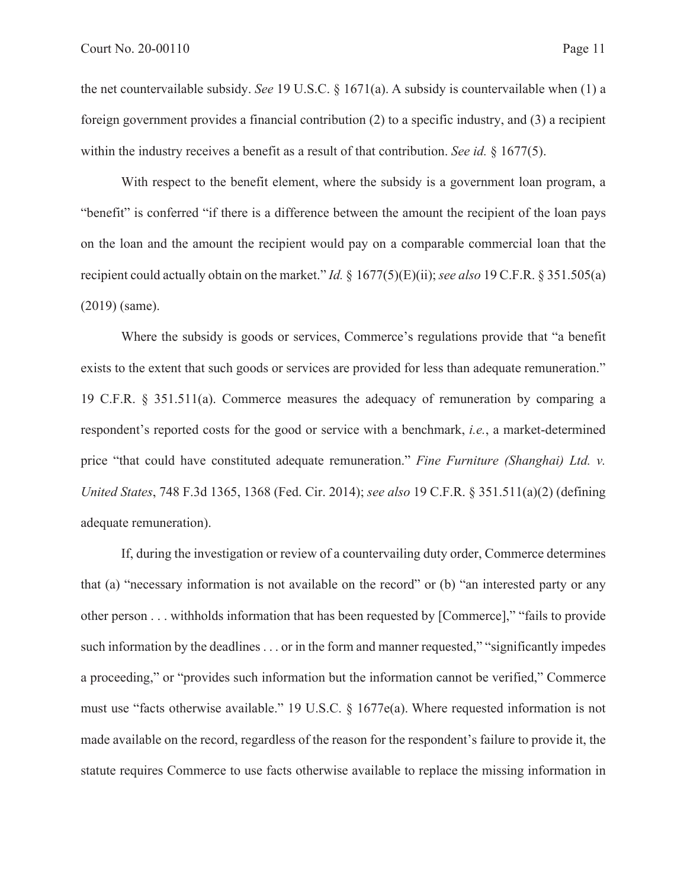the net countervailable subsidy. *See* 19 U.S.C. § 1671(a). A subsidy is countervailable when (1) a foreign government provides a financial contribution (2) to a specific industry, and (3) a recipient within the industry receives a benefit as a result of that contribution. *See id.* § 1677(5).

With respect to the benefit element, where the subsidy is a government loan program, a "benefit" is conferred "if there is a difference between the amount the recipient of the loan pays on the loan and the amount the recipient would pay on a comparable commercial loan that the recipient could actually obtain on the market." *Id.* § 1677(5)(E)(ii); *see also* 19 C.F.R. § 351.505(a) (2019) (same).

Where the subsidy is goods or services, Commerce's regulations provide that "a benefit exists to the extent that such goods or services are provided for less than adequate remuneration." 19 C.F.R. § 351.511(a). Commerce measures the adequacy of remuneration by comparing a respondent's reported costs for the good or service with a benchmark, *i.e.*, a market-determined price "that could have constituted adequate remuneration." *Fine Furniture (Shanghai) Ltd. v. United States*, 748 F.3d 1365, 1368 (Fed. Cir. 2014); *see also* 19 C.F.R. § 351.511(a)(2) (defining adequate remuneration).

If, during the investigation or review of a countervailing duty order, Commerce determines that (a) "necessary information is not available on the record" or (b) "an interested party or any other person . . . withholds information that has been requested by [Commerce]," "fails to provide such information by the deadlines . . . or in the form and manner requested," "significantly impedes a proceeding," or "provides such information but the information cannot be verified," Commerce must use "facts otherwise available." 19 U.S.C. § 1677e(a). Where requested information is not made available on the record, regardless of the reason for the respondent's failure to provide it, the statute requires Commerce to use facts otherwise available to replace the missing information in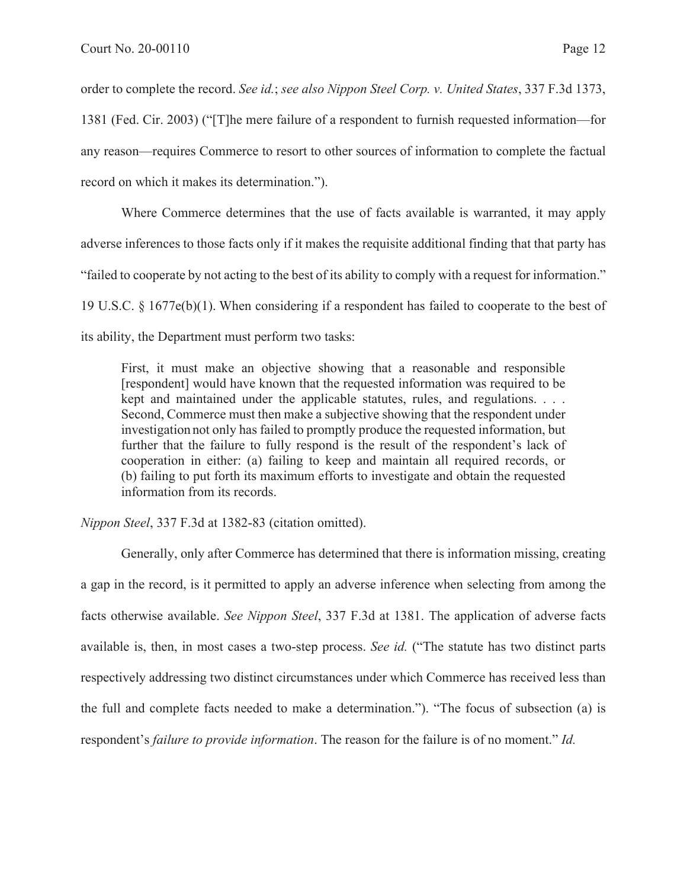order to complete the record. *See id.*; *see also Nippon Steel Corp. v. United States*, 337 F.3d 1373, 1381 (Fed. Cir. 2003) ("[T]he mere failure of a respondent to furnish requested information—for any reason—requires Commerce to resort to other sources of information to complete the factual record on which it makes its determination.").

Where Commerce determines that the use of facts available is warranted, it may apply adverse inferences to those facts only if it makes the requisite additional finding that that party has "failed to cooperate by not acting to the best of its ability to comply with a request for information." 19 U.S.C. § 1677e(b)(1). When considering if a respondent has failed to cooperate to the best of its ability, the Department must perform two tasks:

First, it must make an objective showing that a reasonable and responsible [respondent] would have known that the requested information was required to be kept and maintained under the applicable statutes, rules, and regulations. . . . Second, Commerce must then make a subjective showing that the respondent under investigation not only has failed to promptly produce the requested information, but further that the failure to fully respond is the result of the respondent's lack of cooperation in either: (a) failing to keep and maintain all required records, or (b) failing to put forth its maximum efforts to investigate and obtain the requested information from its records.

*Nippon Steel*, 337 F.3d at 1382-83 (citation omitted).

Generally, only after Commerce has determined that there is information missing, creating a gap in the record, is it permitted to apply an adverse inference when selecting from among the facts otherwise available. *See Nippon Steel*, 337 F.3d at 1381. The application of adverse facts available is, then, in most cases a two-step process. *See id.* ("The statute has two distinct parts respectively addressing two distinct circumstances under which Commerce has received less than the full and complete facts needed to make a determination."). "The focus of subsection (a) is respondent's *failure to provide information*. The reason for the failure is of no moment." *Id.*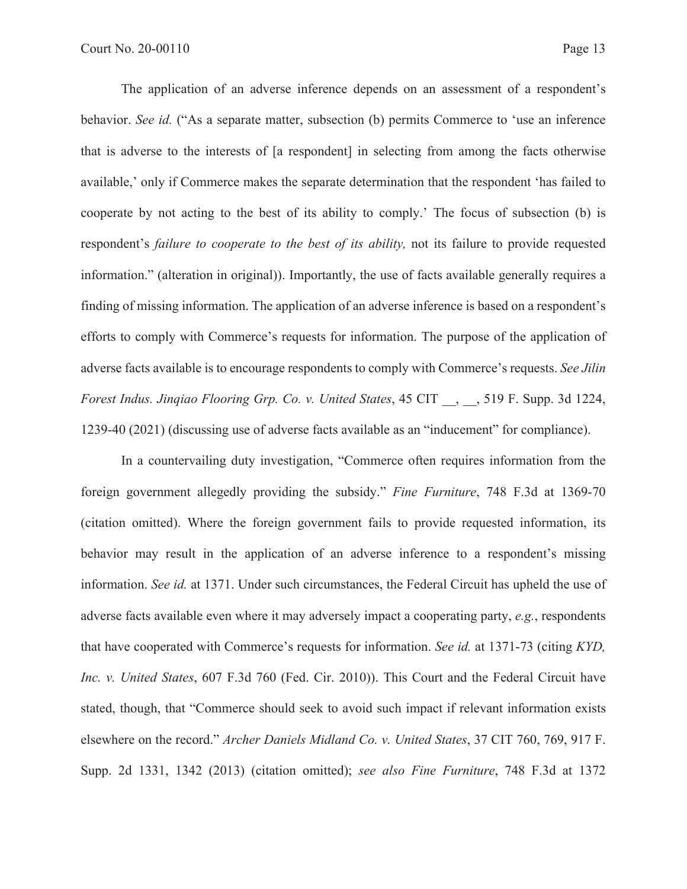The application of an adverse inference depends on an assessment of a respondent's behavior. *See id.* ("As a separate matter, subsection (b) permits Commerce to 'use an inference that is adverse to the interests of [a respondent] in selecting from among the facts otherwise available,' only if Commerce makes the separate determination that the respondent 'has failed to cooperate by not acting to the best of its ability to comply.' The focus of subsection (b) is respondent's *failure to cooperate to the best of its ability,* not its failure to provide requested information." (alteration in original)). Importantly, the use of facts available generally requires a finding of missing information. The application of an adverse inference is based on a respondent's efforts to comply with Commerce's requests for information. The purpose of the application of adverse facts available is to encourage respondents to comply with Commerce's requests. *See Jilin Forest Indus. Jinqiao Flooring Grp. Co. v. United States*, 45 CIT \_\_, \_\_, 519 F. Supp. 3d 1224, 1239-40 (2021) (discussing use of adverse facts available as an "inducement" for compliance).

In a countervailing duty investigation, "Commerce often requires information from the foreign government allegedly providing the subsidy." *Fine Furniture*, 748 F.3d at 1369-70 (citation omitted). Where the foreign government fails to provide requested information, its behavior may result in the application of an adverse inference to a respondent's missing information. *See id.* at 1371. Under such circumstances, the Federal Circuit has upheld the use of adverse facts available even where it may adversely impact a cooperating party, *e.g.*, respondents that have cooperated with Commerce's requests for information. *See id.* at 1371-73 (citing *KYD, Inc. v. United States*, 607 F.3d 760 (Fed. Cir. 2010)). This Court and the Federal Circuit have stated, though, that "Commerce should seek to avoid such impact if relevant information exists elsewhere on the record." *Archer Daniels Midland Co. v. United States*, 37 CIT 760, 769, 917 F. Supp. 2d 1331, 1342 (2013) (citation omitted); *see also Fine Furniture*, 748 F.3d at 1372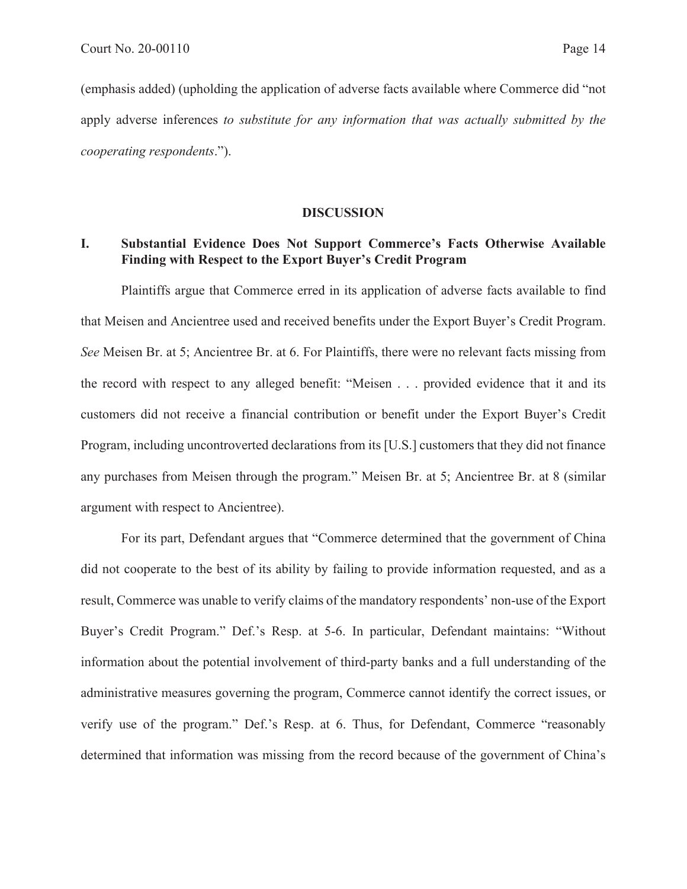(emphasis added) (upholding the application of adverse facts available where Commerce did "not apply adverse inferences *to substitute for any information that was actually submitted by the cooperating respondents*.").

### **DISCUSSION**

# **I. Substantial Evidence Does Not Support Commerce's Facts Otherwise Available Finding with Respect to the Export Buyer's Credit Program**

Plaintiffs argue that Commerce erred in its application of adverse facts available to find that Meisen and Ancientree used and received benefits under the Export Buyer's Credit Program. *See* Meisen Br. at 5; Ancientree Br. at 6. For Plaintiffs, there were no relevant facts missing from the record with respect to any alleged benefit: "Meisen . . . provided evidence that it and its customers did not receive a financial contribution or benefit under the Export Buyer's Credit Program, including uncontroverted declarations from its [U.S.] customers that they did not finance any purchases from Meisen through the program." Meisen Br. at 5; Ancientree Br. at 8 (similar argument with respect to Ancientree).

For its part, Defendant argues that "Commerce determined that the government of China did not cooperate to the best of its ability by failing to provide information requested, and as a result, Commerce was unable to verify claims of the mandatory respondents' non-use of the Export Buyer's Credit Program." Def.'s Resp. at 5-6. In particular, Defendant maintains: "Without information about the potential involvement of third-party banks and a full understanding of the administrative measures governing the program, Commerce cannot identify the correct issues, or verify use of the program." Def.'s Resp. at 6. Thus, for Defendant, Commerce "reasonably determined that information was missing from the record because of the government of China's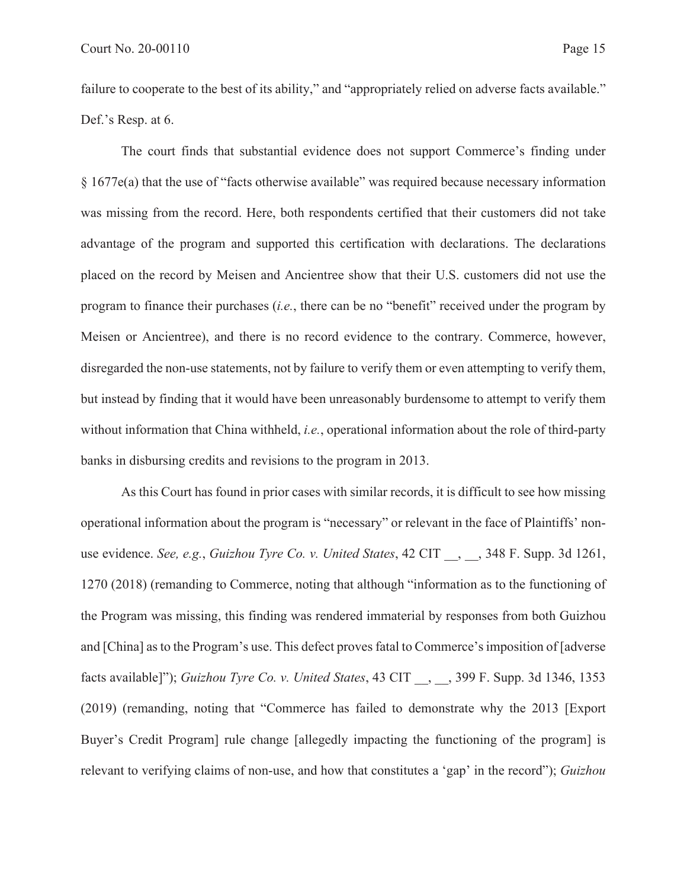failure to cooperate to the best of its ability," and "appropriately relied on adverse facts available." Def.'s Resp. at 6.

The court finds that substantial evidence does not support Commerce's finding under § 1677e(a) that the use of "facts otherwise available" was required because necessary information was missing from the record. Here, both respondents certified that their customers did not take advantage of the program and supported this certification with declarations. The declarations placed on the record by Meisen and Ancientree show that their U.S. customers did not use the program to finance their purchases (*i.e.*, there can be no "benefit" received under the program by Meisen or Ancientree), and there is no record evidence to the contrary. Commerce, however, disregarded the non-use statements, not by failure to verify them or even attempting to verify them, but instead by finding that it would have been unreasonably burdensome to attempt to verify them without information that China withheld, *i.e.*, operational information about the role of third-party banks in disbursing credits and revisions to the program in 2013.

As this Court has found in prior cases with similar records, it is difficult to see how missing operational information about the program is "necessary" or relevant in the face of Plaintiffs' nonuse evidence. *See, e.g.*, *Guizhou Tyre Co. v. United States*, 42 CIT \_\_, \_\_, 348 F. Supp. 3d 1261, 1270 (2018) (remanding to Commerce, noting that although "information as to the functioning of the Program was missing, this finding was rendered immaterial by responses from both Guizhou and [China] as to the Program's use. This defect proves fatal to Commerce's imposition of [adverse facts available]"); *Guizhou Tyre Co. v. United States*, 43 CIT \_\_, \_\_, 399 F. Supp. 3d 1346, 1353 (2019) (remanding, noting that "Commerce has failed to demonstrate why the 2013 [Export Buyer's Credit Program] rule change [allegedly impacting the functioning of the program] is relevant to verifying claims of non-use, and how that constitutes a 'gap' in the record"); *Guizhou*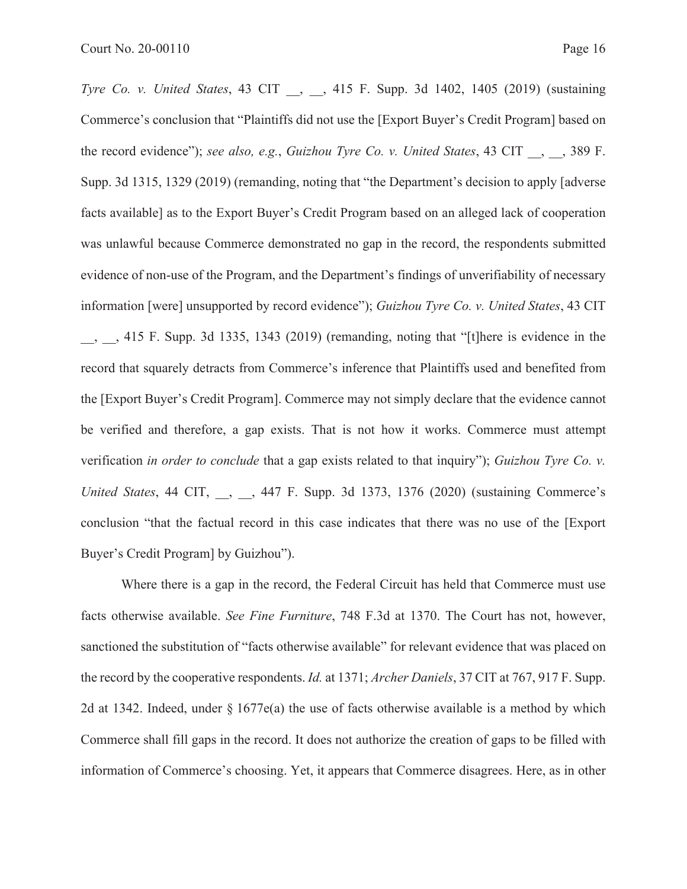*Tyre Co. v. United States*, 43 CIT \_\_, \_\_, 415 F. Supp. 3d 1402, 1405 (2019) (sustaining Commerce's conclusion that "Plaintiffs did not use the [Export Buyer's Credit Program] based on the record evidence"); *see also, e.g.*, *Guizhou Tyre Co. v. United States*, 43 CIT \_\_, \_\_, 389 F. Supp. 3d 1315, 1329 (2019) (remanding, noting that "the Department's decision to apply [adverse facts available] as to the Export Buyer's Credit Program based on an alleged lack of cooperation was unlawful because Commerce demonstrated no gap in the record, the respondents submitted evidence of non-use of the Program, and the Department's findings of unverifiability of necessary information [were] unsupported by record evidence"); *Guizhou Tyre Co. v. United States*, 43 CIT  $\rightarrow$  415 F. Supp. 3d 1335, 1343 (2019) (remanding, noting that "[t]here is evidence in the record that squarely detracts from Commerce's inference that Plaintiffs used and benefited from the [Export Buyer's Credit Program]. Commerce may not simply declare that the evidence cannot be verified and therefore, a gap exists. That is not how it works. Commerce must attempt verification *in order to conclude* that a gap exists related to that inquiry"); *Guizhou Tyre Co. v. United States*, 44 CIT, \_\_, \_\_, 447 F. Supp. 3d 1373, 1376 (2020) (sustaining Commerce's conclusion "that the factual record in this case indicates that there was no use of the [Export Buyer's Credit Program] by Guizhou").

Where there is a gap in the record, the Federal Circuit has held that Commerce must use facts otherwise available. *See Fine Furniture*, 748 F.3d at 1370. The Court has not, however, sanctioned the substitution of "facts otherwise available" for relevant evidence that was placed on the record by the cooperative respondents. *Id.* at 1371; *Archer Daniels*, 37 CIT at 767, 917 F. Supp. 2d at 1342. Indeed, under  $\S 1677e(a)$  the use of facts otherwise available is a method by which Commerce shall fill gaps in the record. It does not authorize the creation of gaps to be filled with information of Commerce's choosing. Yet, it appears that Commerce disagrees. Here, as in other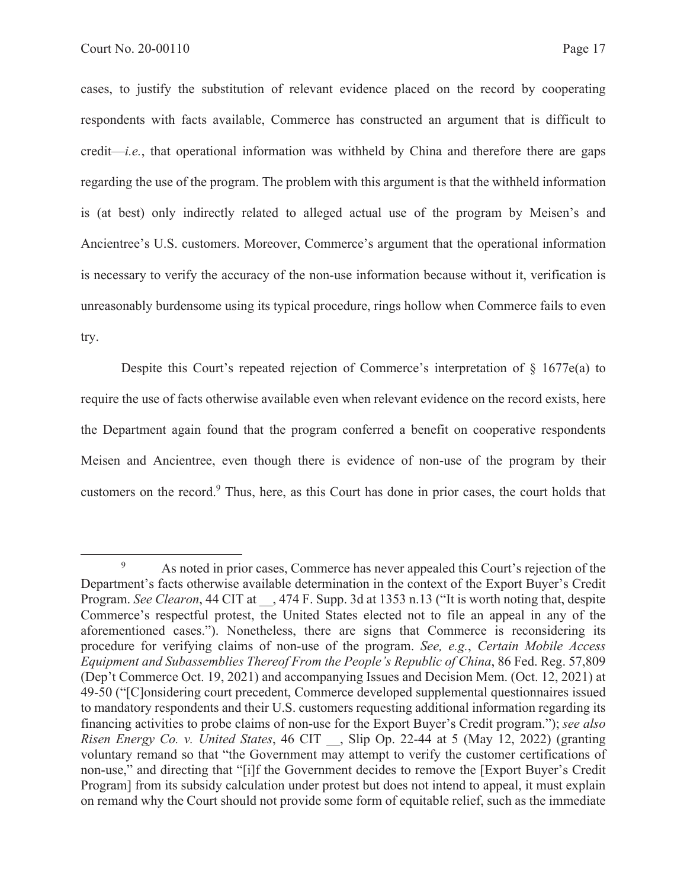cases, to justify the substitution of relevant evidence placed on the record by cooperating respondents with facts available, Commerce has constructed an argument that is difficult to credit—*i.e.*, that operational information was withheld by China and therefore there are gaps regarding the use of the program. The problem with this argument is that the withheld information is (at best) only indirectly related to alleged actual use of the program by Meisen's and Ancientree's U.S. customers. Moreover, Commerce's argument that the operational information is necessary to verify the accuracy of the non-use information because without it, verification is unreasonably burdensome using its typical procedure, rings hollow when Commerce fails to even try.

Despite this Court's repeated rejection of Commerce's interpretation of § 1677e(a) to require the use of facts otherwise available even when relevant evidence on the record exists, here the Department again found that the program conferred a benefit on cooperative respondents Meisen and Ancientree, even though there is evidence of non-use of the program by their customers on the record.<sup>9</sup> Thus, here, as this Court has done in prior cases, the court holds that

<sup>9</sup> As noted in prior cases, Commerce has never appealed this Court's rejection of the Department's facts otherwise available determination in the context of the Export Buyer's Credit Program. *See Clearon*, 44 CIT at \_\_, 474 F. Supp. 3d at 1353 n.13 ("It is worth noting that, despite Commerce's respectful protest, the United States elected not to file an appeal in any of the aforementioned cases."). Nonetheless, there are signs that Commerce is reconsidering its procedure for verifying claims of non-use of the program. *See, e.g.*, *Certain Mobile Access Equipment and Subassemblies Thereof From the People's Republic of China*, 86 Fed. Reg. 57,809 (Dep't Commerce Oct. 19, 2021) and accompanying Issues and Decision Mem. (Oct. 12, 2021) at 49-50 ("[C]onsidering court precedent, Commerce developed supplemental questionnaires issued to mandatory respondents and their U.S. customers requesting additional information regarding its financing activities to probe claims of non-use for the Export Buyer's Credit program."); *see also Risen Energy Co. v. United States*, 46 CIT \_\_, Slip Op. 22-44 at 5 (May 12, 2022) (granting voluntary remand so that "the Government may attempt to verify the customer certifications of non-use," and directing that "[i]f the Government decides to remove the [Export Buyer's Credit Program] from its subsidy calculation under protest but does not intend to appeal, it must explain on remand why the Court should not provide some form of equitable relief, such as the immediate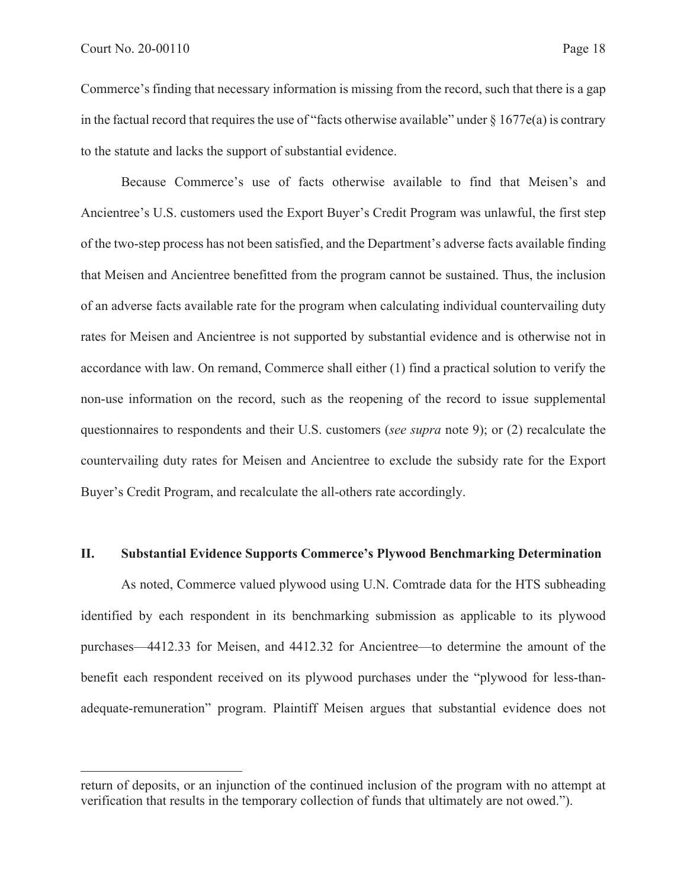Commerce's finding that necessary information is missing from the record, such that there is a gap in the factual record that requires the use of "facts otherwise available" under  $\S 1677e(a)$  is contrary to the statute and lacks the support of substantial evidence.

Because Commerce's use of facts otherwise available to find that Meisen's and Ancientree's U.S. customers used the Export Buyer's Credit Program was unlawful, the first step of the two-step process has not been satisfied, and the Department's adverse facts available finding that Meisen and Ancientree benefitted from the program cannot be sustained. Thus, the inclusion of an adverse facts available rate for the program when calculating individual countervailing duty rates for Meisen and Ancientree is not supported by substantial evidence and is otherwise not in accordance with law. On remand, Commerce shall either (1) find a practical solution to verify the non-use information on the record, such as the reopening of the record to issue supplemental questionnaires to respondents and their U.S. customers (*see supra* note 9); or (2) recalculate the countervailing duty rates for Meisen and Ancientree to exclude the subsidy rate for the Export Buyer's Credit Program, and recalculate the all-others rate accordingly.

### **II. Substantial Evidence Supports Commerce's Plywood Benchmarking Determination**

As noted, Commerce valued plywood using U.N. Comtrade data for the HTS subheading identified by each respondent in its benchmarking submission as applicable to its plywood purchases—4412.33 for Meisen, and 4412.32 for Ancientree—to determine the amount of the benefit each respondent received on its plywood purchases under the "plywood for less-thanadequate-remuneration" program. Plaintiff Meisen argues that substantial evidence does not

return of deposits, or an injunction of the continued inclusion of the program with no attempt at verification that results in the temporary collection of funds that ultimately are not owed.").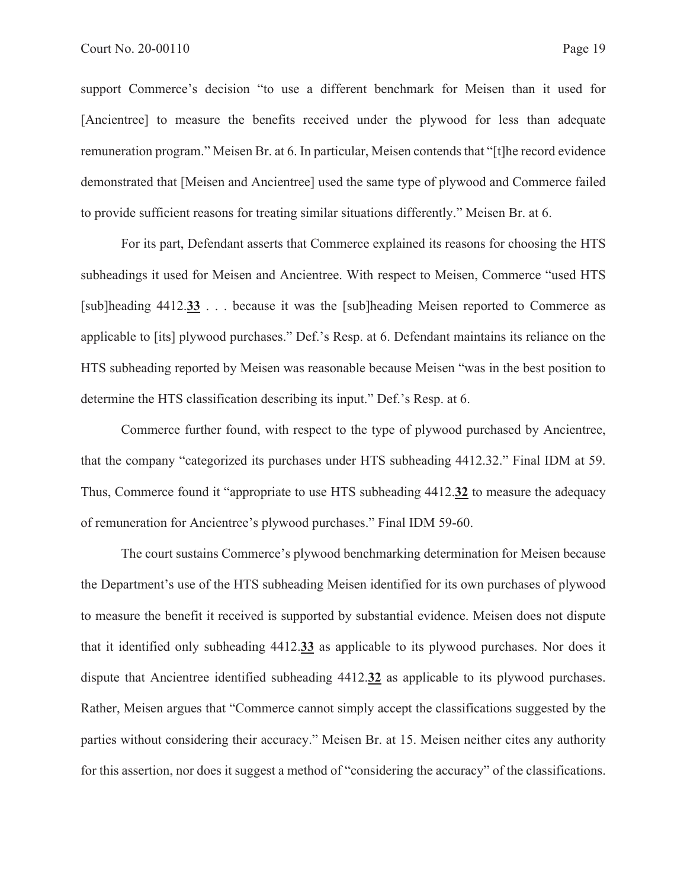support Commerce's decision "to use a different benchmark for Meisen than it used for [Ancientree] to measure the benefits received under the plywood for less than adequate remuneration program." Meisen Br. at 6. In particular, Meisen contends that "[t]he record evidence demonstrated that [Meisen and Ancientree] used the same type of plywood and Commerce failed to provide sufficient reasons for treating similar situations differently." Meisen Br. at 6.

For its part, Defendant asserts that Commerce explained its reasons for choosing the HTS subheadings it used for Meisen and Ancientree. With respect to Meisen, Commerce "used HTS [sub]heading 4412.**33** . . . because it was the [sub]heading Meisen reported to Commerce as applicable to [its] plywood purchases." Def.'s Resp. at 6. Defendant maintains its reliance on the HTS subheading reported by Meisen was reasonable because Meisen "was in the best position to determine the HTS classification describing its input." Def.'s Resp. at 6.

Commerce further found, with respect to the type of plywood purchased by Ancientree, that the company "categorized its purchases under HTS subheading 4412.32." Final IDM at 59. Thus, Commerce found it "appropriate to use HTS subheading 4412.**32** to measure the adequacy of remuneration for Ancientree's plywood purchases." Final IDM 59-60.

The court sustains Commerce's plywood benchmarking determination for Meisen because the Department's use of the HTS subheading Meisen identified for its own purchases of plywood to measure the benefit it received is supported by substantial evidence. Meisen does not dispute that it identified only subheading 4412.**33** as applicable to its plywood purchases. Nor does it dispute that Ancientree identified subheading 4412.**32** as applicable to its plywood purchases. Rather, Meisen argues that "Commerce cannot simply accept the classifications suggested by the parties without considering their accuracy." Meisen Br. at 15. Meisen neither cites any authority for this assertion, nor does it suggest a method of "considering the accuracy" of the classifications.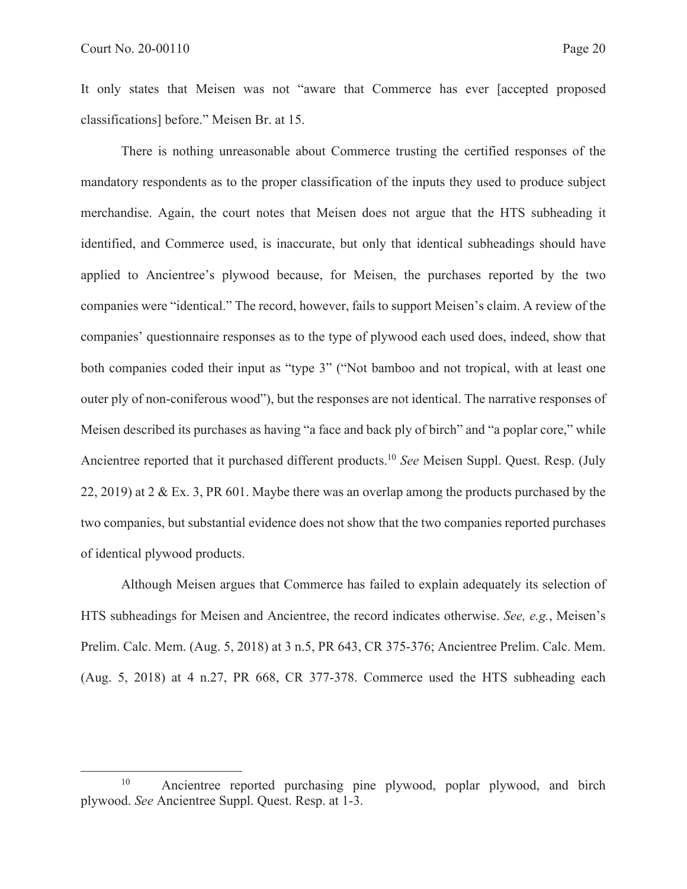It only states that Meisen was not "aware that Commerce has ever [accepted proposed classifications] before." Meisen Br. at 15.

There is nothing unreasonable about Commerce trusting the certified responses of the mandatory respondents as to the proper classification of the inputs they used to produce subject merchandise. Again, the court notes that Meisen does not argue that the HTS subheading it identified, and Commerce used, is inaccurate, but only that identical subheadings should have applied to Ancientree's plywood because, for Meisen, the purchases reported by the two companies were "identical." The record, however, fails to support Meisen's claim. A review of the companies' questionnaire responses as to the type of plywood each used does, indeed, show that both companies coded their input as "type 3" ("Not bamboo and not tropical, with at least one outer ply of non-coniferous wood"), but the responses are not identical. The narrative responses of Meisen described its purchases as having "a face and back ply of birch" and "a poplar core," while Ancientree reported that it purchased different products.10 *See* Meisen Suppl. Quest. Resp. (July 22, 2019) at 2 & Ex. 3, PR 601. Maybe there was an overlap among the products purchased by the two companies, but substantial evidence does not show that the two companies reported purchases of identical plywood products.

Although Meisen argues that Commerce has failed to explain adequately its selection of HTS subheadings for Meisen and Ancientree, the record indicates otherwise. *See, e.g.*, Meisen's Prelim. Calc. Mem. (Aug. 5, 2018) at 3 n.5, PR 643, CR 375-376; Ancientree Prelim. Calc. Mem. (Aug. 5, 2018) at 4 n.27, PR 668, CR 377-378. Commerce used the HTS subheading each

<sup>&</sup>lt;sup>10</sup> Ancientree reported purchasing pine plywood, poplar plywood, and birch plywood. *See* Ancientree Suppl. Quest. Resp. at 1-3.